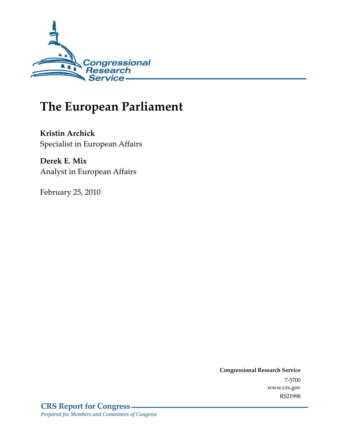

# **The European Parliament**

**Kristin Archick**  Specialist in European Affairs

**Derek E. Mix**  Analyst in European Affairs

February 25, 2010

**Congressional Research Service** 7-5700 www.crs.gov RS21998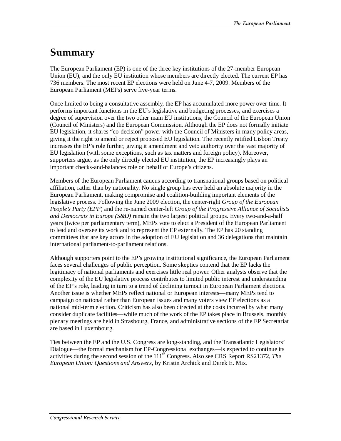## **Summary**

The European Parliament (EP) is one of the three key institutions of the 27-member European Union (EU), and the only EU institution whose members are directly elected. The current EP has 736 members. The most recent EP elections were held on June 4-7, 2009. Members of the European Parliament (MEPs) serve five-year terms.

Once limited to being a consultative assembly, the EP has accumulated more power over time. It performs important functions in the EU's legislative and budgeting processes, and exercises a degree of supervision over the two other main EU institutions, the Council of the European Union (Council of Ministers) and the European Commission. Although the EP does not formally initiate EU legislation, it shares "co-decision" power with the Council of Ministers in many policy areas, giving it the right to amend or reject proposed EU legislation. The recently ratified Lisbon Treaty increases the EP's role further, giving it amendment and veto authority over the vast majority of EU legislation (with some exceptions, such as tax matters and foreign policy). Moreover, supporters argue, as the only directly elected EU institution, the EP increasingly plays an important checks-and-balances role on behalf of Europe's citizens.

Members of the European Parliament caucus according to transnational groups based on political affiliation, rather than by nationality. No single group has ever held an absolute majority in the European Parliament, making compromise and coalition-building important elements of the legislative process. Following the June 2009 election, the center-right *Group of the European People's Party (EPP*) and the re-named center-left *Group of the Progressive Alliance of Socialists and Democrats in Europe (S&D)* remain the two largest political groups*.* Every two-and-a-half years (twice per parliamentary term), MEPs vote to elect a President of the European Parliament to lead and oversee its work and to represent the EP externally. The EP has 20 standing committees that are key actors in the adoption of EU legislation and 36 delegations that maintain international parliament-to-parliament relations.

Although supporters point to the EP's growing institutional significance, the European Parliament faces several challenges of public perception. Some skeptics contend that the EP lacks the legitimacy of national parliaments and exercises little real power. Other analysts observe that the complexity of the EU legislative process contributes to limited public interest and understanding of the EP's role, leading in turn to a trend of declining turnout in European Parliament elections. Another issue is whether MEPs reflect national or European interests—many MEPs tend to campaign on national rather than European issues and many voters view EP elections as a national mid-term election. Criticism has also been directed at the costs incurred by what many consider duplicate facilities—while much of the work of the EP takes place in Brussels, monthly plenary meetings are held in Strasbourg, France, and administrative sections of the EP Secretariat are based in Luxembourg.

Ties between the EP and the U.S. Congress are long-standing, and the Transatlantic Legislators' Dialogue—the formal mechanism for EP-Congressional exchanges—is expected to continue its activities during the second session of the 111<sup>th</sup> Congress. Also see CRS Report RS21372, *The European Union: Questions and Answers*, by Kristin Archick and Derek E. Mix.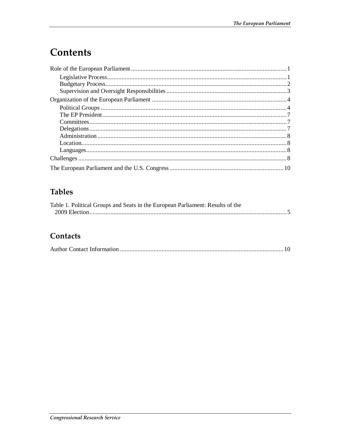## Contents

### **Tables**

| Table 1. Political Groups and Seats in the European Parliament: Results of the |  |
|--------------------------------------------------------------------------------|--|
|                                                                                |  |

### Contacts

|--|--|--|--|--|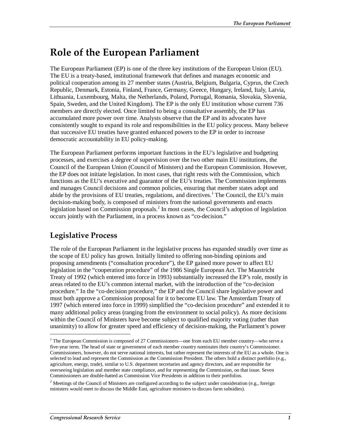## **Role of the European Parliament**

The European Parliament (EP) is one of the three key institutions of the European Union (EU). The EU is a treaty-based, institutional framework that defines and manages economic and political cooperation among its 27 member states (Austria, Belgium, Bulgaria, Cyprus, the Czech Republic, Denmark, Estonia, Finland, France, Germany, Greece, Hungary, Ireland, Italy, Latvia, Lithuania, Luxembourg, Malta, the Netherlands, Poland, Portugal, Romania, Slovakia, Slovenia, Spain, Sweden, and the United Kingdom). The EP is the only EU institution whose current 736 members are directly elected. Once limited to being a consultative assembly, the EP has accumulated more power over time. Analysts observe that the EP and its advocates have consistently sought to expand its role and responsibilities in the EU policy process. Many believe that successive EU treaties have granted enhanced powers to the EP in order to increase democratic accountability in EU policy-making.

The European Parliament performs important functions in the EU's legislative and budgeting processes, and exercises a degree of supervision over the two other main EU institutions, the Council of the European Union (Council of Ministers) and the European Commission. However, the EP does not initiate legislation. In most cases, that right rests with the Commission, which functions as the EU's executive and guarantor of the EU's treaties. The Commission implements and manages Council decisions and common policies, ensuring that member states adopt and abide by the provisions of EU treaties, regulations, and directives.<sup>1</sup> The Council, the EU's main decision-making body, is composed of ministers from the national governments and enacts legislation based on Commission proposals.<sup>2</sup> In most cases, the Council's adoption of legislation occurs jointly with the Parliament, in a process known as "co-decision."

### **Legislative Process**

The role of the European Parliament in the legislative process has expanded steadily over time as the scope of EU policy has grown. Initially limited to offering non-binding opinions and proposing amendments ("consultation procedure"), the EP gained more power to affect EU legislation in the "cooperation procedure" of the 1986 Single European Act. The Maastricht Treaty of 1992 (which entered into force in 1993) substantially increased the EP's role, mostly in areas related to the EU's common internal market, with the introduction of the "co-decision procedure." In the "co-decision procedure," the EP and the Council share legislative power and must both approve a Commission proposal for it to become EU law. The Amsterdam Treaty of 1997 (which entered into force in 1999) simplified the "co-decision procedure" and extended it to many additional policy areas (ranging from the environment to social policy). As more decisions within the Council of Ministers have become subject to qualified majority voting (rather than unanimity) to allow for greater speed and efficiency of decision-making, the Parliament's power

<sup>&</sup>lt;sup>1</sup> The European Commission is composed of 27 Commissioners—one from each EU member country—who serve a five-year term. The head of state or government of each member country nominates their country's Commissioner. Commissioners, however, do not serve national interests, but rather represent the interests of the EU as a whole. One is selected to lead and represent the Commission as the Commission President. The others hold a distinct portfolio (e.g., agriculture, energy, trade), similar to U.S. department secretaries and agency directors, and are responsible for overseeing legislation and member state compliance, and for representing the Commission, on that issue. Seven Commissioners are double-hatted as Commission Vice Presidents in addition to their portfolios.

<sup>&</sup>lt;sup>2</sup> Meetings of the Council of Ministers are configured according to the subject under consideration (e.g., foreign ministers would meet to discuss the Middle East, agriculture ministers to discuss farm subsidies).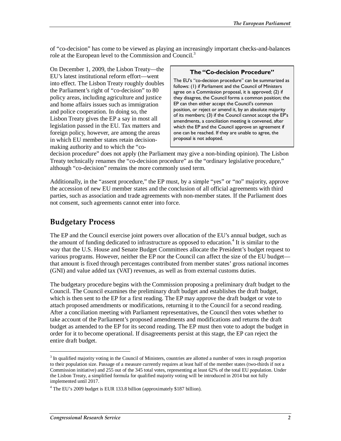of "co-decision" has come to be viewed as playing an increasingly important checks-and-balances role at the European level to the Commission and Council.<sup>3</sup>

On December 1, 2009, the Lisbon Treaty—the EU's latest institutional reform effort—went into effect. The Lisbon Treaty roughly doubles the Parliament's right of "co-decision" to 80 policy areas, including agriculture and justice and home affairs issues such as immigration and police cooperation. In doing so, the Lisbon Treaty gives the EP a say in most all legislation passed in the EU. Tax matters and foreign policy, however, are among the areas in which EU member states retain decisionmaking authority and to which the "co-

#### **The "Co-decision Procedure"**

The EU's "co-decision procedure" can be summarized as follows: (1) if Parliament and the Council of Ministers agree on a Commission proposal, it is approved; (2) if they disagree, the Council forms a common position; the EP can then either accept the Council's common position, or reject or amend it, by an absolute majority of its members; (3) if the Council cannot accept the EP's amendments, a conciliation meeting is convened, after which the EP and the Council approve an agreement if one can be reached. If they are unable to agree, the proposal is not adopted.

decision procedure" does not apply (the Parliament may give a non-binding opinion). The Lisbon Treaty technically renames the "co-decision procedure" as the "ordinary legislative procedure," although "co-decision" remains the more commonly used term.

Additionally, in the "assent procedure," the EP must, by a simple "yes" or "no" majority, approve the accession of new EU member states and the conclusion of all official agreements with third parties, such as association and trade agreements with non-member states. If the Parliament does not consent, such agreements cannot enter into force.

#### **Budgetary Process**

The EP and the Council exercise joint powers over allocation of the EU's annual budget, such as the amount of funding dedicated to infrastructure as opposed to education.<sup>4</sup> It is similar to the way that the U.S. House and Senate Budget Committees allocate the President's budget request to various programs. However, neither the EP nor the Council can affect the size of the EU budget that amount is fixed through percentages contributed from member states' gross national incomes (GNI) and value added tax (VAT) revenues, as well as from external customs duties.

The budgetary procedure begins with the Commission proposing a preliminary draft budget to the Council. The Council examines the preliminary draft budget and establishes the draft budget, which is then sent to the EP for a first reading. The EP may approve the draft budget or vote to attach proposed amendments or modifications, returning it to the Council for a second reading. After a conciliation meeting with Parliament representatives, the Council then votes whether to take account of the Parliament's proposed amendments and modifications and returns the draft budget as amended to the EP for its second reading. The EP must then vote to adopt the budget in order for it to become operational. If disagreements persist at this stage, the EP can reject the entire draft budget.

<u>.</u>

 $3$  In qualified majority voting in the Council of Ministers, countries are allotted a number of votes in rough proportion to their population size. Passage of a measure currently requires at least half of the member states (two-thirds if not a Commission initiative) and 255 out of the 345 total votes, representing at least 62% of the total EU population. Under the Lisbon Treaty, a simplified formula for qualified majority voting will be introduced in 2014 but not fully implemented until 2017.

<sup>&</sup>lt;sup>4</sup> The EU's 2009 budget is EUR 133.8 billion (approximately \$187 billion).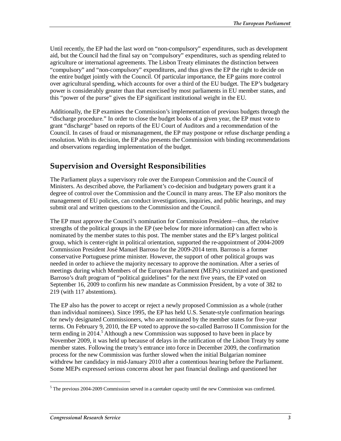Until recently, the EP had the last word on "non-compulsory" expenditures, such as development aid, but the Council had the final say on "compulsory" expenditures, such as spending related to agriculture or international agreements. The Lisbon Treaty eliminates the distinction between "compulsory" and "non-compulsory" expenditures, and thus gives the EP the right to decide on the entire budget jointly with the Council. Of particular importance, the EP gains more control over agricultural spending, which accounts for over a third of the EU budget. The EP's budgetary power is considerably greater than that exercised by most parliaments in EU member states, and this "power of the purse" gives the EP significant institutional weight in the EU.

Additionally, the EP examines the Commission's implementation of previous budgets through the "discharge procedure." In order to close the budget books of a given year, the EP must vote to grant "discharge" based on reports of the EU Court of Auditors and a recommendation of the Council. In cases of fraud or mismanagement, the EP may postpone or refuse discharge pending a resolution. With its decision, the EP also presents the Commission with binding recommendations and observations regarding implementation of the budget.

### **Supervision and Oversight Responsibilities**

The Parliament plays a supervisory role over the European Commission and the Council of Ministers. As described above, the Parliament's co-decision and budgetary powers grant it a degree of control over the Commission and the Council in many areas. The EP also monitors the management of EU policies, can conduct investigations, inquiries, and public hearings, and may submit oral and written questions to the Commission and the Council.

The EP must approve the Council's nomination for Commission President—thus, the relative strengths of the political groups in the EP (see below for more information) can affect who is nominated by the member states to this post. The member states and the EP's largest political group, which is center-right in political orientation, supported the re-appointment of 2004-2009 Commission President José Manuel Barroso for the 2009-2014 term. Barroso is a former conservative Portuguese prime minister. However, the support of other political groups was needed in order to achieve the majority necessary to approve the nomination. After a series of meetings during which Members of the European Parliament (MEPs) scrutinized and questioned Barroso's draft program of "political guidelines" for the next five years, the EP voted on September 16, 2009 to confirm his new mandate as Commission President, by a vote of 382 to 219 (with 117 abstentions).

The EP also has the power to accept or reject a newly proposed Commission as a whole (rather than individual nominees). Since 1995, the EP has held U.S. Senate-style confirmation hearings for newly designated Commissioners, who are nominated by the member states for five-year terms. On February 9, 2010, the EP voted to approve the so-called Barroso II Commission for the term ending in 2014.<sup>5</sup> Although a new Commission was supposed to have been in place by November 2009, it was held up because of delays in the ratification of the Lisbon Treaty by some member states. Following the treaty's entrance into force in December 2009, the confirmation process for the new Commission was further slowed when the initial Bulgarian nominee withdrew her candidacy in mid-January 2010 after a contentious hearing before the Parliament. Some MEPs expressed serious concerns about her past financial dealings and questioned her

<sup>&</sup>lt;sup>5</sup> The previous 2004-2009 Commission served in a caretaker capacity until the new Commission was confirmed.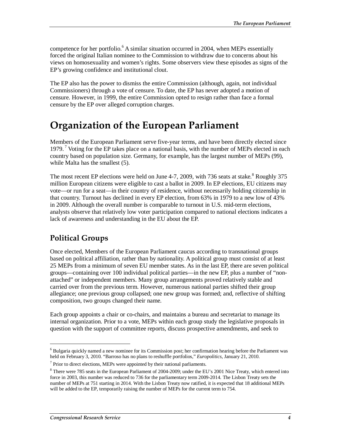competence for her portfolio.<sup>6</sup> A similar situation occurred in 2004, when MEPs essentially forced the original Italian nominee to the Commission to withdraw due to concerns about his views on homosexuality and women's rights. Some observers view these episodes as signs of the EP's growing confidence and institutional clout.

The EP also has the power to dismiss the entire Commission (although, again, not individual Commissioners) through a vote of censure. To date, the EP has never adopted a motion of censure. However, in 1999, the entire Commission opted to resign rather than face a formal censure by the EP over alleged corruption charges.

## **Organization of the European Parliament**

Members of the European Parliament serve five-year terms, and have been directly elected since 1979.<sup> $\degree$ </sup> Voting for the EP takes place on a national basis, with the number of MEPs elected in each country based on population size. Germany, for example, has the largest number of MEPs (99), while Malta has the smallest (5).

The most recent EP elections were held on June 4-7, 2009, with 736 seats at stake.<sup>8</sup> Roughly 375 million European citizens were eligible to cast a ballot in 2009. In EP elections, EU citizens may vote—or run for a seat—in their country of residence, without necessarily holding citizenship in that country. Turnout has declined in every EP election, from 63% in 1979 to a new low of 43% in 2009. Although the overall number is comparable to turnout in U.S. mid-term elections, analysts observe that relatively low voter participation compared to national elections indicates a lack of awareness and understanding in the EU about the EP.

### **Political Groups**

Once elected, Members of the European Parliament caucus according to transnational groups based on political affiliation, rather than by nationality. A political group must consist of at least 25 MEPs from a minimum of seven EU member states. As in the last EP, there are seven political groups—containing over 100 individual political parties—in the new EP, plus a number of "nonattached" or independent members. Many group arrangements proved relatively stable and carried over from the previous term. However, numerous national parties shifted their group allegiance; one previous group collapsed; one new group was formed; and, reflective of shifting composition, two groups changed their name.

Each group appoints a chair or co-chairs, and maintains a bureau and secretariat to manage its internal organization. Prior to a vote, MEPs within each group study the legislative proposals in question with the support of committee reports, discuss prospective amendments, and seek to

<u>.</u>

<sup>&</sup>lt;sup>6</sup> Bulgaria quickly named a new nominee for its Commission post; her confirmation hearing before the Parliament was held on February 3, 2010. "Barroso has no plans to reshuffle portfolios," *Europolitics*, January 21, 2010.

 $7$  Prior to direct elections, MEPs were appointed by their national parliaments.

<sup>&</sup>lt;sup>8</sup> There were 785 seats in the European Parliament of 2004-2009; under the EU's 2001 Nice Treaty, which entered into force in 2003, this number was reduced to 736 for the parliamentary term 2009-2014. The Lisbon Treaty sets the number of MEPs at 751 starting in 2014. With the Lisbon Treaty now ratified, it is expected that 18 additional MEPs will be added to the EP, temporarily raising the number of MEPs for the current term to 754.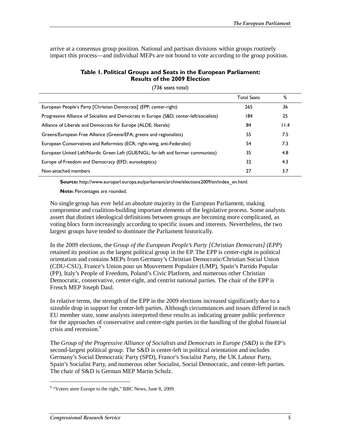arrive at a consensus group position. National and partisan divisions within groups routinely impact this process—and individual MEPs are not bound to vote according to the group position.

#### **Table 1. Political Groups and Seats in the European Parliament: Results of the 2009 Election**

|                                                                                         | <b>Total Seats</b> | %    |
|-----------------------------------------------------------------------------------------|--------------------|------|
| European People's Party [Christian Democrats] (EPP; center-right)                       | 265                | 36   |
| Progressive Alliance of Socialists and Democrats in Europe (S&D center-left/socialists) | 184                | 25   |
| Alliance of Liberals and Democrats for Europe (ALDE; liberals)                          | 84                 | 11.4 |
| Greens/European Free Alliance (Greens/EFA; greens and regionalists)                     | 55                 | 7.5  |
| European Conservatives and Reformists (ECR; right-wing, anti-Federalist)                | 54                 | 7.3  |
| European United Left/Nordic Green Left (GUE/NGL; far-left and former communists)        | 35                 | 4.8  |
| Europe of Freedom and Democracy (EFD; euroskeptics)                                     | 32                 | 4.3  |
| Non-attached members                                                                    | 27                 | 3.7  |

(736 seats total)

**Source:** http://www.europarl.europa.eu/parliament/archive/elections2009/en/index\_en.html.

**Note: Percentages are rounded.** 

No single group has ever held an absolute majority in the European Parliament, making compromise and coalition-building important elements of the legislative process. Some analysts assert that distinct ideological definitions between groups are becoming more complicated, as voting blocs form increasingly according to specific issues and interests. Nevertheless, the two largest groups have tended to dominate the Parliament historically.

In the 2009 elections, the *Group of the European People's Party [Christian Democrats] (EPP*) retained its position as the largest political group in the EP. The EPP is center-right in political orientation and contains MEPs from Germany's Christian Democratic/Christian Social Union (CDU-CSU), France's Union pour un Mouvement Populaire (UMP), Spain's Partido Popular (PP), Italy's People of Freedom, Poland's Civic Platform, and numerous other Christian Democratic, conservative, center-right, and centrist national parties. The chair of the EPP is French MEP Joseph Daul.

In relative terms, the strength of the EPP in the 2009 elections increased significantly due to a sizeable drop in support for center-left parties. Although circumstances and issues differed in each EU member state, some analysts interpreted these results as indicating greater public preference for the approaches of conservative and center-right parties in the handling of the global financial crisis and recession $9$ 

The *Group of the Progressive Alliance of Socialists and Democrats in Europe (S&D)* is the EP's second-largest political group. The S&D is center-left in political orientation and includes Germany's Social Democratic Party (SPD), France's Socialist Party, the UK Labour Party, Spain's Socialist Party, and numerous other Socialist, Social Democratic, and center-left parties. The chair of S&D is German MEP Martin Schulz.

<sup>&</sup>lt;sup>9</sup> "Voters steer Europe to the right," BBC News, June 8, 2009.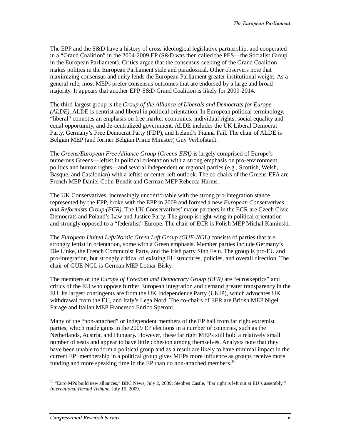The EPP and the S&D have a history of cross-ideological legislative partnership, and cooperated in a "Grand Coalition" in the 2004-2009 EP (S&D was then called the PES—the Socialist Group in the European Parliament). Critics argue that the consensus-seeking of the Grand Coalition makes politics in the European Parliament stale and paradoxical. Other observers note that maximizing consensus and unity lends the European Parliament greater institutional weight. As a general rule, most MEPs prefer consensus outcomes that are endorsed by a large and broad majority. It appears that another EPP-S&D Grand Coalition is likely for 2009-2014.

The third-largest group is the *Group of the Alliance of Liberals and Democrats for Europe (ALDE)*. ALDE is centrist and liberal in political orientation. In European political terminology, "liberal" connotes an emphasis on free market economics, individual rights, social equality and equal opportunity, and de-centralized government. ALDE includes the UK Liberal Democrat Party, Germany's Free Democrat Party (FDP), and Ireland's Fianna Fail. The chair of ALDE is Belgian MEP (and former Belgian Prime Minister) Guy Verhofstadt.

The *Greens/European Free Alliance Group (Greens-EFA)* is largely comprised of Europe's numerous Greens—leftist in political orientation with a strong emphasis on pro-environment politics and human rights—and several independent or regional parties (e.g., Scottish, Welsh, Basque, and Catalonian) with a leftist or center-left outlook. The co-chairs of the Greens-EFA are French MEP Daniel Cohn-Bendit and German MEP Rebecca Harms.

The UK Conservatives, increasingly uncomfortable with the strong pro-integration stance represented by the EPP, broke with the EPP in 2009 and formed a new *European Conservatives and Reformists Group (ECR)*. The UK Conservatives' major partners in the ECR are Czech Civic Democrats and Poland's Law and Justice Party. The group is right-wing in political orientation and strongly opposed to a "federalist" Europe. The chair of ECR is Polish MEP Michal Kaminski.

The *European United Left/Nordic Green Left Group (GUE-NGL)* consists of parties that are strongly leftist in orientation, some with a Green emphasis. Member parties include Germany's Die Linke, the French Communist Party, and the Irish party Sinn Fein. The group is pro-EU and pro-integration, but strongly critical of existing EU structures, policies, and overall direction. The chair of GUE-NGL is German MEP Lothar Bisky.

The members of the *Europe of Freedom and Democracy Group (EFR)* are "euroskeptics" and critics of the EU who oppose further European integration and demand greater transparency in the EU. Its largest contingents are from the UK Independence Party (UKIP), which advocates UK withdrawal from the EU, and Italy's Lega Nord. The co-chairs of EFR are British MEP Nigel Farage and Italian MEP Francesco Enrico Speroni.

Many of the "non-attached" or independent members of the EP hail from far right extremist parties, which made gains in the 2009 EP elections in a number of countries, such as the Netherlands, Austria, and Hungary. However, these far right MEPs still hold a relatively small number of seats and appear to have little cohesion among themselves. Analysts note that they have been unable to form a political group and as a result are likely to have minimal impact in the current EP; membership in a political group gives MEPs more influence as groups receive more funding and more speaking time in the EP than do non-attached members.<sup>10</sup>

<sup>&</sup>lt;sup>10</sup> "Euro MPs build new alliances," BBC News, July 2, 2009; Stephen Castle, "Far right is left out at EU's assembly," *International Herald Tribune*, July 15, 2009.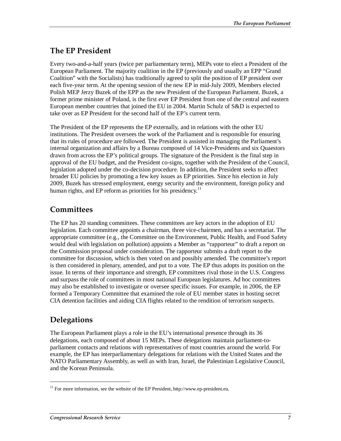### **The EP President**

Every two-and-a-half years (twice per parliamentary term), MEPs vote to elect a President of the European Parliament. The majority coalition in the EP (previously and usually an EPP "Grand Coalition" with the Socialists) has traditionally agreed to split the position of EP president over each five-year term. At the opening session of the new EP in mid-July 2009, Members elected Polish MEP Jerzy Buzek of the EPP as the new President of the European Parliament. Buzek, a former prime minister of Poland, is the first ever EP President from one of the central and eastern European member countries that joined the EU in 2004. Martin Schulz of S&D is expected to take over as EP President for the second half of the EP's current term.

The President of the EP represents the EP externally, and in relations with the other EU institutions. The President oversees the work of the Parliament and is responsible for ensuring that its rules of procedure are followed. The President is assisted in managing the Parliament's internal organization and affairs by a Bureau composed of 14 Vice-Presidents and six Quaestors drawn from across the EP's political groups. The signature of the President is the final step in approval of the EU budget, and the President co-signs, together with the President of the Council, legislation adopted under the co-decision procedure. In addition, the President seeks to affect broader EU policies by promoting a few key issues as EP priorities. Since his election in July 2009, Buzek has stressed employment, energy security and the environment, foreign policy and human rights, and EP reform as priorities for his presidency.<sup>11</sup>

### **Committees**

The EP has 20 standing committees. These committees are key actors in the adoption of EU legislation. Each committee appoints a chairman, three vice-chairmen, and has a secretariat. The appropriate committee (e.g., the Committee on the Environment, Public Health, and Food Safety would deal with legislation on pollution) appoints a Member as "rapporteur" to draft a report on the Commission proposal under consideration. The rapporteur submits a draft report to the committee for discussion, which is then voted on and possibly amended. The committee's report is then considered in plenary, amended, and put to a vote. The EP thus adopts its position on the issue. In terms of their importance and strength, EP committees rival those in the U.S. Congress and surpass the role of committees in most national European legislatures. Ad hoc committees may also be established to investigate or oversee specific issues. For example, in 2006, the EP formed a Temporary Committee that examined the role of EU member states in hosting secret CIA detention facilities and aiding CIA flights related to the rendition of terrorism suspects.

### **Delegations**

1

The European Parliament plays a role in the EU's international presence through its 36 delegations, each composed of about 15 MEPs. These delegations maintain parliament-toparliament contacts and relations with representatives of most countries around the world. For example, the EP has interparliamentary delegations for relations with the United States and the NATO Parliamentary Assembly, as well as with Iran, Israel, the Palestinian Legislative Council, and the Korean Peninsula.

 $11$  For more information, see the website of the EP President, http://www.ep-president.eu.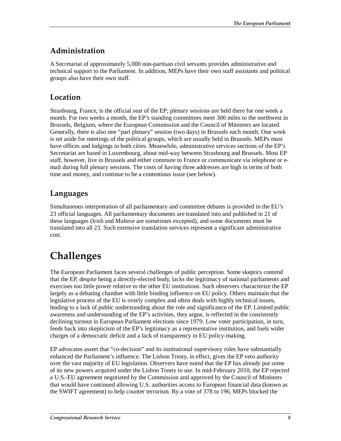### **Administration**

A Secretariat of approximately 5,000 non-partisan civil servants provides administrative and technical support to the Parliament. In addition, MEPs have their own staff assistants and political groups also have their own staff.

### **Location**

Strasbourg, France, is the official seat of the EP; plenary sessions are held there for one week a month. For two weeks a month, the EP's standing committees meet 300 miles to the northwest in Brussels, Belgium, where the European Commission and the Council of Ministers are located. Generally, there is also one "part plenary" session (two days) in Brussels each month. One week is set aside for meetings of the political groups, which are usually held in Brussels. MEPs must have offices and lodgings in both cities. Meanwhile, administrative services sections of the EP's Secretariat are based in Luxembourg, about mid-way between Strasbourg and Brussels. Most EP staff, however, live in Brussels and either commute to France or communicate via telephone or email during full plenary sessions. The costs of having three addresses are high in terms of both time and money, and continue to be a contentious issue (see below).

### **Languages**

Simultaneous interpretation of all parliamentary and committee debates is provided in the EU's 23 official languages. All parliamentary documents are translated into and published in 21 of these languages (Irish and Maltese are sometimes excepted), and some documents must be translated into all 23. Such extensive translation services represent a significant administrative cost.

# **Challenges**

The European Parliament faces several challenges of public perception. Some skeptics contend that the EP, despite being a directly-elected body, lacks the legitimacy of national parliaments and exercises too little power relative to the other EU institutions. Such observers characterize the EP largely as a debating chamber with little binding influence on EU policy. Others maintain that the legislative process of the EU is overly complex and often deals with highly technical issues, leading to a lack of public understanding about the role and significance of the EP. Limited public awareness and understanding of the EP's activities, they argue, is reflected in the consistently declining turnout in European Parliament elections since 1979. Low voter participation, in turn, feeds back into skepticism of the EP's legitimacy as a representative institution, and fuels wider charges of a democratic deficit and a lack of transparency in EU policy-making.

EP advocates assert that "co-decision" and its institutional supervisory roles have substantially enhanced the Parliament's influence. The Lisbon Treaty, in effect, gives the EP veto authority over the vast majority of EU legislation. Observers have noted that the EP has already put some of its new powers acquired under the Lisbon Treaty to use. In mid-February 2010, the EP rejected a U.S.-EU agreement negotiated by the Commission and approved by the Council of Ministers that would have continued allowing U.S. authorities access to European financial data (known as the SWIFT agreement) to help counter terrorism. By a vote of 378 to 196, MEPs blocked the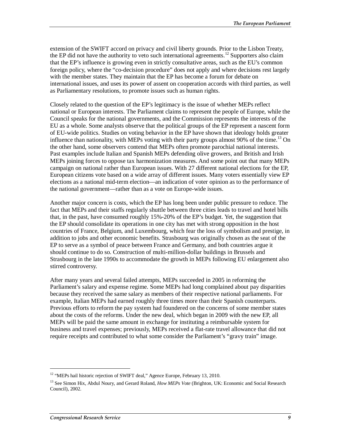extension of the SWIFT accord on privacy and civil liberty grounds. Prior to the Lisbon Treaty, the EP did not have the authority to veto such international agreements.<sup>12</sup> Supporters also claim that the EP's influence is growing even in strictly consultative areas, such as the EU's common foreign policy, where the "co-decision procedure" does not apply and where decisions rest largely with the member states. They maintain that the EP has become a forum for debate on international issues, and uses its power of assent on cooperation accords with third parties, as well as Parliamentary resolutions, to promote issues such as human rights.

Closely related to the question of the EP's legitimacy is the issue of whether MEPs reflect national or European interests. The Parliament claims to represent the people of Europe, while the Council speaks for the national governments, and the Commission represents the interests of the EU as a whole. Some analysts observe that the political groups of the EP represent a nascent form of EU-wide politics. Studies on voting behavior in the EP have shown that ideology holds greater influence than nationality, with MEPs voting with their party groups almost 90% of the time.<sup>13</sup> On the other hand, some observers contend that MEPs often promote parochial national interests. Past examples include Italian and Spanish MEPs defending olive growers, and British and Irish MEPs joining forces to oppose tax harmonization measures. And some point out that many MEPs campaign on national rather than European issues. With 27 different national elections for the EP, European citizens vote based on a wide array of different issues. Many voters essentially view EP elections as a national mid-term election—an indication of voter opinion as to the performance of the national government—rather than as a vote on Europe-wide issues.

Another major concern is costs, which the EP has long been under public pressure to reduce. The fact that MEPs and their staffs regularly shuttle between three cities leads to travel and hotel bills that, in the past, have consumed roughly 15%-20% of the EP's budget. Yet, the suggestion that the EP should consolidate its operations in one city has met with strong opposition in the host countries of France, Belgium, and Luxembourg, which fear the loss of symbolism and prestige, in addition to jobs and other economic benefits. Strasbourg was originally chosen as the seat of the EP to serve as a symbol of peace between France and Germany, and both countries argue it should continue to do so. Construction of multi-million-dollar buildings in Brussels and Strasbourg in the late 1990s to accommodate the growth in MEPs following EU enlargement also stirred controversy.

After many years and several failed attempts, MEPs succeeded in 2005 in reforming the Parliament's salary and expense regime. Some MEPs had long complained about pay disparities because they received the same salary as members of their respective national parliaments. For example, Italian MEPs had earned roughly three times more than their Spanish counterparts. Previous efforts to reform the pay system had foundered on the concerns of some member states about the costs of the reforms. Under the new deal, which began in 2009 with the new EP, all MEPs will be paid the same amount in exchange for instituting a reimbursable system for business and travel expenses; previously, MEPs received a flat-rate travel allowance that did not require receipts and contributed to what some consider the Parliament's "gravy train" image.

<sup>&</sup>lt;sup>12</sup> "MEPs hail historic rejection of SWIFT deal," Agence Europe, February 13, 2010.

<sup>&</sup>lt;sup>13</sup> See Simon Hix, Abdul Noury, and Gerard Roland, *How MEPs Vote* (Brighton, UK: Economic and Social Research Council), 2002.